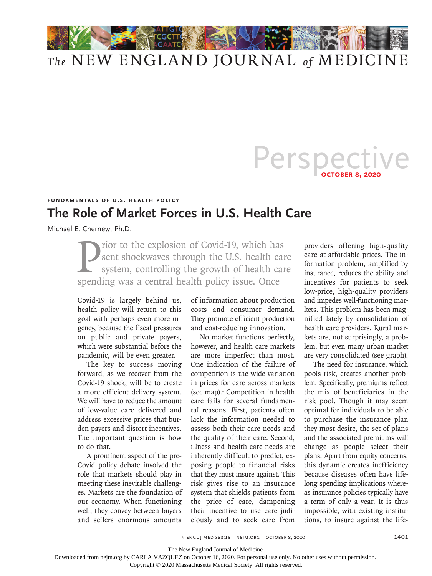

## Perspective

## **Fundamentals of U.S. Health Policy The Role of Market Forces in U.S. Health Care**

Michael E. Chernew, Ph.D.

Prior to the explosion of Covid-19, which has<br>sent shockwaves through the U.S. health car<br>spending was a central health policy issue. Once sent shockwaves through the U.S. health care system, controlling the growth of health care spending was a central health policy issue. Once

Covid-19 is largely behind us, health policy will return to this goal with perhaps even more urgency, because the fiscal pressures on public and private payers, which were substantial before the pandemic, will be even greater.

The key to success moving forward, as we recover from the Covid-19 shock, will be to create a more efficient delivery system. We will have to reduce the amount of low-value care delivered and address excessive prices that burden payers and distort incentives. The important question is how to do that.

A prominent aspect of the pre-Covid policy debate involved the role that markets should play in meeting these inevitable challenges. Markets are the foundation of our economy. When functioning well, they convey between buyers and sellers enormous amounts

of information about production costs and consumer demand. They promote efficient production and cost-reducing innovation.

No market functions perfectly, however, and health care markets are more imperfect than most. One indication of the failure of competition is the wide variation in prices for care across markets (see map).1 Competition in health care fails for several fundamental reasons. First, patients often lack the information needed to assess both their care needs and the quality of their care. Second, illness and health care needs are inherently difficult to predict, exposing people to financial risks that they must insure against. This risk gives rise to an insurance system that shields patients from the price of care, dampening their incentive to use care judiciously and to seek care from

providers offering high-quality care at affordable prices. The information problem, amplified by insurance, reduces the ability and incentives for patients to seek low-price, high-quality providers and impedes well-functioning markets. This problem has been magnified lately by consolidation of health care providers. Rural markets are, not surprisingly, a problem, but even many urban market are very consolidated (see graph).

The need for insurance, which pools risk, creates another problem. Specifically, premiums reflect the mix of beneficiaries in the risk pool. Though it may seem optimal for individuals to be able to purchase the insurance plan they most desire, the set of plans and the associated premiums will change as people select their plans. Apart from equity concerns, this dynamic creates inefficiency because diseases often have lifelong spending implications whereas insurance policies typically have a term of only a year. It is thus impossible, with existing institutions, to insure against the life-

The New England Journal of Medicine

Downloaded from nejm.org by CARLA VAZQUEZ on October 16, 2020. For personal use only. No other uses without permission.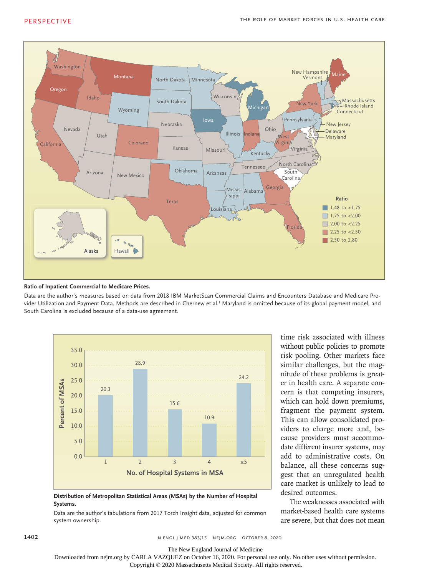

**Ratio of Inpatient Commercial to Medicare Prices.**

Data are the author's measures based on data from 2018 IBM MarketScan Commercial Claims and Encounters Database and Medicare Provider Utilization and Payment Data. Methods are described in Chernew et al.<sup>1</sup> Maryland is omitted because of its global payment model, and South Carolina is excluded because of a data-use agreement.



time risk associated with illness without public policies to promote risk pooling. Other markets face similar challenges, but the magnitude of these problems is greater in health care. A separate concern is that competing insurers, which can hold down premiums, fragment the payment system. This can allow consolidated providers to charge more and, because providers must accommodate different insurer systems, may add to administrative costs. On balance, all these concerns suggest that an unregulated health care market is unlikely to lead to desired outcomes.

**Distribution of Metropolitan Statistical Areas (MSAs) by the Number of Hospital Systems.**

Data are the author's tabulations from 2017 Torch Insight data, adjusted for common system ownership.

The weaknesses associated with market-based health care systems are severe, but that does not mean

n engl j med 383;15 nejm.org October 8, 2020

The New England Journal of Medicine

Downloaded from nejm.org by CARLA VAZQUEZ on October 16, 2020. For personal use only. No other uses without permission.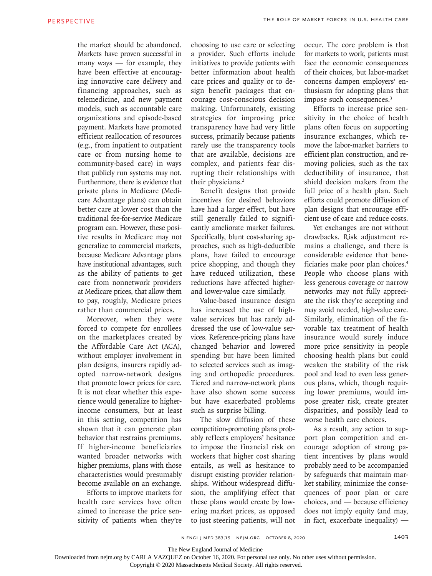the market should be abandoned. Markets have proven successful in many ways  $-$  for example, they have been effective at encouraging innovative care delivery and financing approaches, such as telemedicine, and new payment models, such as accountable care organizations and episode-based payment. Markets have promoted efficient reallocation of resources (e.g., from inpatient to outpatient care or from nursing home to community-based care) in ways that publicly run systems may not. Furthermore, there is evidence that private plans in Medicare (Medicare Advantage plans) can obtain better care at lower cost than the traditional fee-for-service Medicare program can. However, these positive results in Medicare may not generalize to commercial markets, because Medicare Advantage plans have institutional advantages, such as the ability of patients to get care from nonnetwork providers at Medicare prices, that allow them to pay, roughly, Medicare prices rather than commercial prices.

Moreover, when they were forced to compete for enrollees on the marketplaces created by the Affordable Care Act (ACA), without employer involvement in plan designs, insurers rapidly adopted narrow-network designs that promote lower prices for care. It is not clear whether this experience would generalize to higherincome consumers, but at least in this setting, competition has shown that it can generate plan behavior that restrains premiums. If higher-income beneficiaries wanted broader networks with higher premiums, plans with those characteristics would presumably become available on an exchange.

Efforts to improve markets for health care services have often aimed to increase the price sensitivity of patients when they're

choosing to use care or selecting a provider. Such efforts include initiatives to provide patients with better information about health care prices and quality or to design benefit packages that encourage cost-conscious decision making. Unfortunately, existing strategies for improving price transparency have had very little success, primarily because patients rarely use the transparency tools that are available, decisions are complex, and patients fear disrupting their relationships with their physicians.<sup>2</sup>

Benefit designs that provide incentives for desired behaviors have had a larger effect, but have still generally failed to significantly ameliorate market failures. Specifically, blunt cost-sharing approaches, such as high-deductible plans, have failed to encourage price shopping, and though they have reduced utilization, these reductions have affected higherand lower-value care similarly.

Value-based insurance design has increased the use of highvalue services but has rarely addressed the use of low-value services. Reference-pricing plans have changed behavior and lowered spending but have been limited to selected services such as imaging and orthopedic procedures. Tiered and narrow-network plans have also shown some success but have exacerbated problems such as surprise billing.

The slow diffusion of these competition-promoting plans probably reflects employers' hesitance to impose the financial risk on workers that higher cost sharing entails, as well as hesitance to disrupt existing provider relationships. Without widespread diffusion, the amplifying effect that these plans would create by lowering market prices, as opposed to just steering patients, will not occur. The core problem is that for markets to work, patients must face the economic consequences of their choices, but labor-market concerns dampen employers' enthusiasm for adopting plans that impose such consequences.<sup>3</sup>

Efforts to increase price sensitivity in the choice of health plans often focus on supporting insurance exchanges, which remove the labor-market barriers to efficient plan construction, and removing policies, such as the tax deductibility of insurance, that shield decision makers from the full price of a health plan. Such efforts could promote diffusion of plan designs that encourage efficient use of care and reduce costs.

Yet exchanges are not without drawbacks. Risk adjustment remains a challenge, and there is considerable evidence that beneficiaries make poor plan choices.4 People who choose plans with less generous coverage or narrow networks may not fully appreciate the risk they're accepting and may avoid needed, high-value care. Similarly, elimination of the favorable tax treatment of health insurance would surely induce more price sensitivity in people choosing health plans but could weaken the stability of the risk pool and lead to even less generous plans, which, though requiring lower premiums, would impose greater risk, create greater disparities, and possibly lead to worse health care choices.

As a result, any action to support plan competition and encourage adoption of strong patient incentives by plans would probably need to be accompanied by safeguards that maintain market stability, minimize the consequences of poor plan or care choices, and — because efficiency does not imply equity (and may, in fact, exacerbate inequality) —

The New England Journal of Medicine

Downloaded from nejm.org by CARLA VAZQUEZ on October 16, 2020. For personal use only. No other uses without permission.